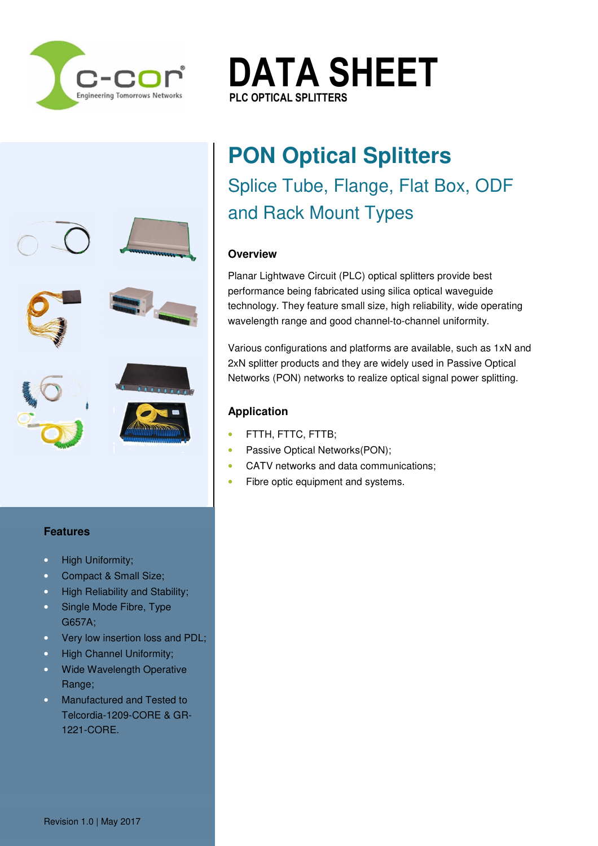

 $\sim$  $\mathbf{f}$ E. sales@c-cor.com.au

Regional Representation

Pakistan / Korea E: sales@c-cor.com.au

**DATA SHEET PLC OPTICAL SPLITTERS PLC OPTICAL SPLITTERS**

# **PON Optical Splitters**  Splice Tube, Flange, Flat Box, ODF and Rack Mount Types

## **Overview**

Planar Lightwave Circuit (PLC) optical splitters provide best performance being fabricated using silica optical waveguide technology. They feature small size, high reliability, wide operating wavelength range and good channel-to-channel uniformity.

Various configurations and platforms are available, such as 1xN and 2xN splitter products and they are widely used in Passive Optical Networks (PON) networks to realize optical signal power splitting.

# **Application**

- FTTH, FTTC, FTTB;
- Passive Optical Networks(PON);
- CATV networks and data communications;
- Fibre optic equipment and systems.

### **Features**

- High Uniformity;
- Compact & Small Size;
- High Reliability and Stability;
- Single Mode Fibre, Type G657A;
- Very low insertion loss and PDL;
- High Channel Uniformity;
- Wide Wavelength Operative Range;
- Manufactured and Tested to Telcordia-1209-CORE & GR-1221-CORE.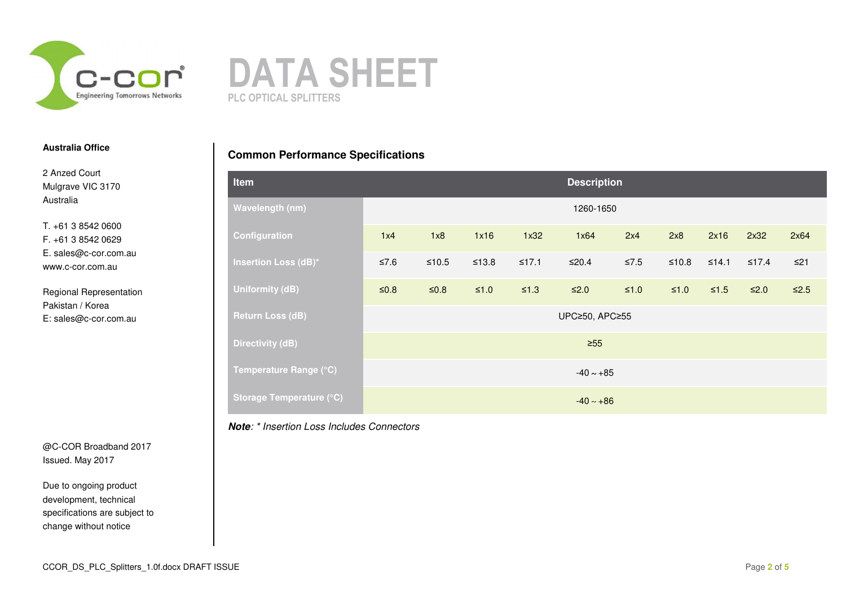



2 Anzed Court Mulgrave VIC 3170 Australia

T. +61 3 8542 0600 F. +61 3 8542 0629 E. sales@c-cor.com.au www.c-cor.com.au

Regional Representation Pakistan / Korea E: sales@c-cor.com.au

@C-COR Broadband 2017 Issued. May 2017

Due to ongoing product development, technical specifications are subject to change without notice

# **Common Performance Specifications**

| Item                            | <b>Description</b> |         |            |            |            |        |            |        |             |            |
|---------------------------------|--------------------|---------|------------|------------|------------|--------|------------|--------|-------------|------------|
| Wavelength (nm)                 | 1260-1650          |         |            |            |            |        |            |        |             |            |
| Configuration                   | 1x4                | 1x8     | 1x16       | 1x32       | 1x64       | 2x4    | 2x8        | 2x16   | 2x32        | 2x64       |
| <b>Insertion Loss (dB)*</b>     | ≤7.6               | $≤10.5$ | $≤13.8$    | $≤17.1$    | $≤20.4$    | $≤7.5$ | $≤10.8$    | ≤14.1  | $\leq 17.4$ | $\leq$ 21  |
| Uniformity (dB)                 | $\leq 0.8$         | $≤0.8$  | $\leq 1.0$ | $\leq 1.3$ | $\leq 2.0$ | $≤1.0$ | $\leq 1.0$ | $≤1.5$ | $\leq 2.0$  | $\leq 2.5$ |
| <b>Return Loss (dB)</b>         | UPC≥50, APC≥55     |         |            |            |            |        |            |        |             |            |
| <b>Directivity (dB)</b>         | $\geq 55$          |         |            |            |            |        |            |        |             |            |
| Temperature Range (°C)          | $-40 - +85$        |         |            |            |            |        |            |        |             |            |
| <b>Storage Temperature (°C)</b> | $-40 - +86$        |         |            |            |            |        |            |        |             |            |

#### **Note**: \* Insertion Loss Includes Connectors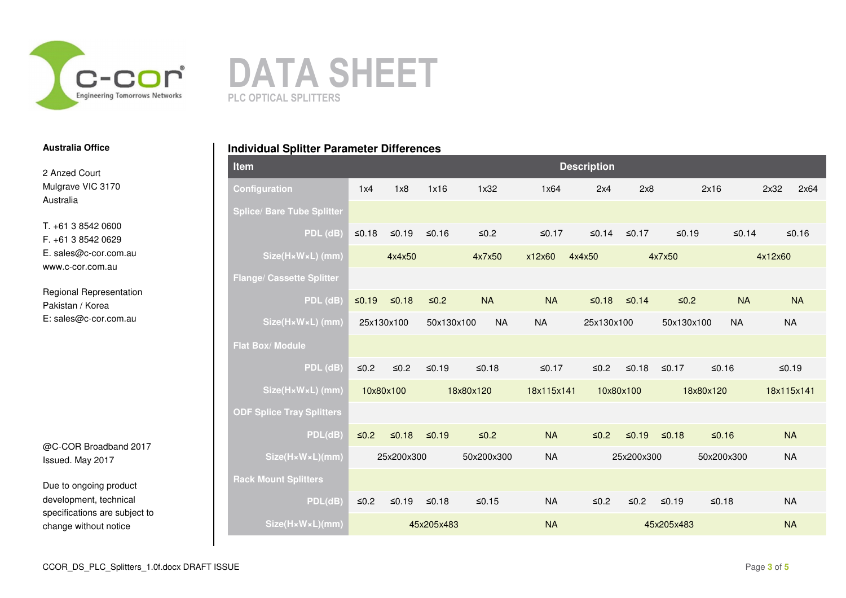



2 Anzed Court Mulgrave VIC 3170 Australia

T. +61 3 8542 0600 F. +61 3 8542 0629 E. sales@c-cor.com.au www.c-cor.com.au

Regional Representation Pakistan / Korea E: sales@c-cor.com.au

@C-COR Broadband 2017 Issued. May 2017

Due to ongoing product development, technical specifications are subject to change without notice

|  |  |  |  | <b>Individual Splitter Parameter Differences</b> |
|--|--|--|--|--------------------------------------------------|
|--|--|--|--|--------------------------------------------------|

| Item                              |           |            |            |             |            | <b>Description</b> |            |            |            |            |           |
|-----------------------------------|-----------|------------|------------|-------------|------------|--------------------|------------|------------|------------|------------|-----------|
| Configuration                     | 1x4       | 1x8        | 1x16       | 1x32        | 1x64       | 2x4                | 2x8        |            | 2x16       | 2x32       | 2x64      |
| <b>Splice/ Bare Tube Splitter</b> |           |            |            |             |            |                    |            |            |            |            |           |
| PDL (dB)                          | $≤0.18$   | $≤0.19$    | $≤0.16$    | $≤0.2$      | ≤0.17      | ≤0.14              | $≤0.17$    | $≤0.19$    | $≤0.14$    |            | ≤0.16     |
| Size(HxWxL) (mm)                  |           | 4x4x50     |            | 4x7x50      | x12x60     | 4x4x50             |            | 4x7x50     |            | 4x12x60    |           |
| <b>Flange/ Cassette Splitter</b>  |           |            |            |             |            |                    |            |            |            |            |           |
| PDL (dB)                          | $≤0.19$   | $≤0.18$    | $≤0.2$     | <b>NA</b>   | <b>NA</b>  | $≤0.18$            | $≤0.14$    | $≤0.2$     | <b>NA</b>  |            | <b>NA</b> |
| Size(HxWxL) (mm)                  |           | 25x130x100 | 50x130x100 | <b>NA</b>   | <b>NA</b>  | 25x130x100         |            | 50x130x100 | <b>NA</b>  | <b>NA</b>  |           |
| <b>Flat Box/ Module</b>           |           |            |            |             |            |                    |            |            |            |            |           |
| $PDL$ (dB)                        | $≤0.2$    | $≤0.2$     | $≤0.19$    | $≤0.18$     | $≤0.17$    | $≤0.2$             | $≤0.18$    | $≤0.17$    | $≤0.16$    | $≤0.19$    |           |
| Size(HxWxL) (mm)                  | 10x80x100 |            |            | 18x80x120   | 18x115x141 | 10x80x100          |            |            | 18x80x120  | 18x115x141 |           |
| <b>ODF Splice Tray Splitters</b>  |           |            |            |             |            |                    |            |            |            |            |           |
| PDL(dB)                           | $≤0.2$    | $≤0.18$    | $≤0.19$    | $\leq 0.2$  | <b>NA</b>  | $≤0.2$             | $≤0.19$    | $≤0.18$    | $≤0.16$    | <b>NA</b>  |           |
| Size(HxWxL)(mm)                   |           | 25x200x300 |            | 50x200x300  | <b>NA</b>  |                    | 25x200x300 |            | 50x200x300 | <b>NA</b>  |           |
| <b>Rack Mount Splitters</b>       |           |            |            |             |            |                    |            |            |            |            |           |
| PDL(dB)                           | $≤0.2$    | ≤0.19      | $≤0.18$    | $\leq 0.15$ | <b>NA</b>  | $≤0.2$             | $≤0.2$     | ≤0.19      | $≤0.18$    | <b>NA</b>  |           |
| Size(HxWxL)(mm)                   |           |            | 45x205x483 |             | <b>NA</b>  |                    |            | 45x205x483 |            | <b>NA</b>  |           |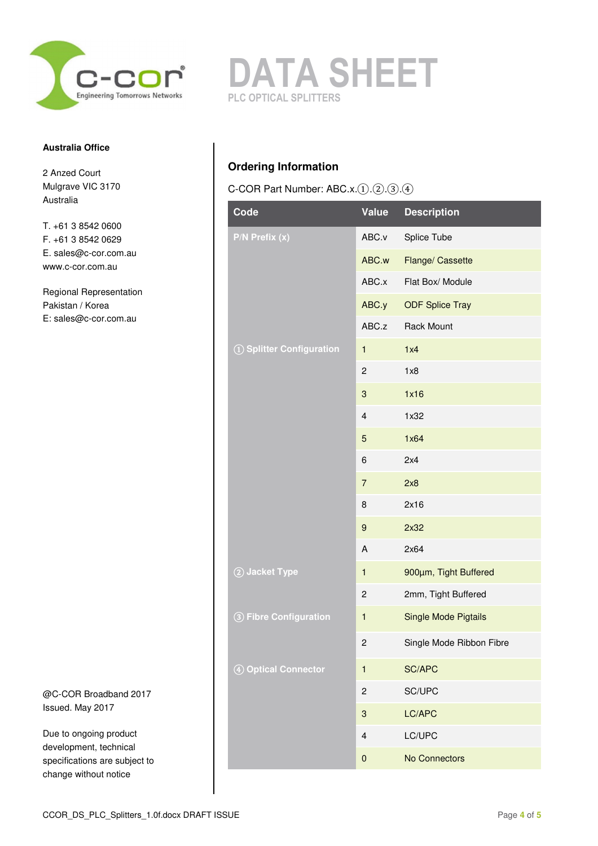

2 Anzed Court Mulgrave VIC 3170 Australia

T. +61 3 8542 0600 F. +61 3 8542 0629 E. sales@c-cor.com.au www.c-cor.com.au

Regional Representation Pakistan / Korea E: sales@c-cor.com.au

@C-COR Broadband 2017 Issued. May 2017

Due to ongoing product development, technical specifications are subject to change without notice



# **Ordering Information**

C-COR Part Number: ABC.x.①.②.③.④

| Code                          | Value                   | <b>Description</b>          |
|-------------------------------|-------------------------|-----------------------------|
| $P/N$ Prefix $\overline{(x)}$ | ABC.v                   | Splice Tube                 |
|                               | ABC.w                   | Flange/ Cassette            |
|                               | ABC.x                   | Flat Box/ Module            |
|                               | ABC.y                   | <b>ODF Splice Tray</b>      |
|                               | ABC.z                   | <b>Rack Mount</b>           |
| 1 Splitter Configuration      | 1                       | 1x4                         |
|                               | 2                       | 1x8                         |
|                               | 3                       | 1x16                        |
|                               | 4                       | 1x32                        |
|                               | 5                       | 1x64                        |
|                               | 6                       | 2x4                         |
|                               | $\overline{7}$          | 2x8                         |
|                               | 8                       | 2x16                        |
|                               | 9                       | 2x32                        |
|                               | A                       | 2x64                        |
| 2 Jacket Type                 | 1                       | 900um, Tight Buffered       |
|                               | 2                       | 2mm, Tight Buffered         |
| 3 Fibre Configuration         | $\mathbf{1}$            | <b>Single Mode Pigtails</b> |
|                               | 2                       | Single Mode Ribbon Fibre    |
| 4 Optical Connector           | $\mathbf{1}$            | SC/APC                      |
|                               | $\overline{\mathbf{c}}$ | SC/UPC                      |
|                               | 3                       | LC/APC                      |
|                               | 4                       | LC/UPC                      |
|                               | $\pmb{0}$               | No Connectors               |
|                               |                         |                             |